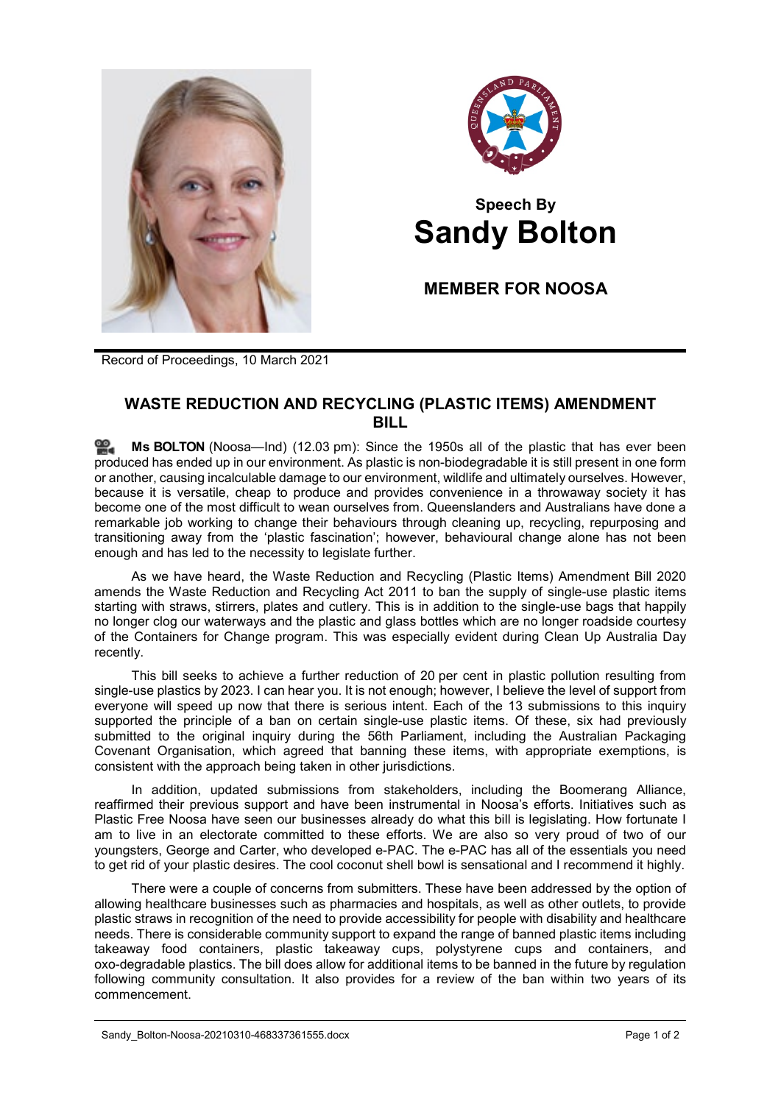



## **Speech By Sandy Bolton**

**MEMBER FOR NOOSA**

Record of Proceedings, 10 March 2021

## **WASTE REDUCTION AND RECYCLING (PLASTIC ITEMS) AMENDMENT BILL**

**Ms [BOLTON](http://www.parliament.qld.gov.au/docs/find.aspx?id=0Mba20210310_120325)** (Noosa—Ind) (12.03 pm): Since the 1950s all of the plastic that has ever been ≌. produced has ended up in our environment. As plastic is non-biodegradable it is still present in one form or another, causing incalculable damage to our environment, wildlife and ultimately ourselves. However, because it is versatile, cheap to produce and provides convenience in a throwaway society it has become one of the most difficult to wean ourselves from. Queenslanders and Australians have done a remarkable job working to change their behaviours through cleaning up, recycling, repurposing and transitioning away from the 'plastic fascination'; however, behavioural change alone has not been enough and has led to the necessity to legislate further.

As we have heard, the Waste Reduction and Recycling (Plastic Items) Amendment Bill 2020 amends the Waste Reduction and Recycling Act 2011 to ban the supply of single-use plastic items starting with straws, stirrers, plates and cutlery. This is in addition to the single-use bags that happily no longer clog our waterways and the plastic and glass bottles which are no longer roadside courtesy of the Containers for Change program. This was especially evident during Clean Up Australia Day recently.

This bill seeks to achieve a further reduction of 20 per cent in plastic pollution resulting from single-use plastics by 2023. I can hear you. It is not enough; however, I believe the level of support from everyone will speed up now that there is serious intent. Each of the 13 submissions to this inquiry supported the principle of a ban on certain single-use plastic items. Of these, six had previously submitted to the original inquiry during the 56th Parliament, including the Australian Packaging Covenant Organisation, which agreed that banning these items, with appropriate exemptions, is consistent with the approach being taken in other jurisdictions.

In addition, updated submissions from stakeholders, including the Boomerang Alliance, reaffirmed their previous support and have been instrumental in Noosa's efforts. Initiatives such as Plastic Free Noosa have seen our businesses already do what this bill is legislating. How fortunate I am to live in an electorate committed to these efforts. We are also so very proud of two of our youngsters, George and Carter, who developed e-PAC. The e-PAC has all of the essentials you need to get rid of your plastic desires. The cool coconut shell bowl is sensational and I recommend it highly.

There were a couple of concerns from submitters. These have been addressed by the option of allowing healthcare businesses such as pharmacies and hospitals, as well as other outlets, to provide plastic straws in recognition of the need to provide accessibility for people with disability and healthcare needs. There is considerable community support to expand the range of banned plastic items including takeaway food containers, plastic takeaway cups, polystyrene cups and containers, and oxo-degradable plastics. The bill does allow for additional items to be banned in the future by regulation following community consultation. It also provides for a review of the ban within two years of its commencement.